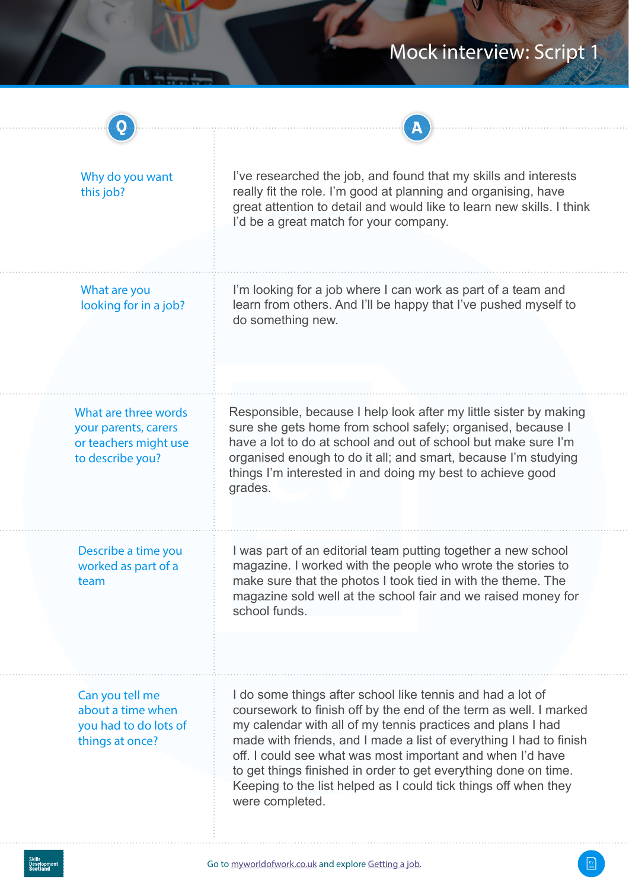| Why do you want<br>this job?                                                              | I've researched the job, and found that my skills and interests<br>really fit the role. I'm good at planning and organising, have<br>great attention to detail and would like to learn new skills. I think<br>I'd be a great match for your company.                                                                                                                                                                                                                                        |
|-------------------------------------------------------------------------------------------|---------------------------------------------------------------------------------------------------------------------------------------------------------------------------------------------------------------------------------------------------------------------------------------------------------------------------------------------------------------------------------------------------------------------------------------------------------------------------------------------|
| What are you<br>looking for in a job?                                                     | I'm looking for a job where I can work as part of a team and<br>learn from others. And I'll be happy that I've pushed myself to<br>do something new.                                                                                                                                                                                                                                                                                                                                        |
| What are three words<br>your parents, carers<br>or teachers might use<br>to describe you? | Responsible, because I help look after my little sister by making<br>sure she gets home from school safely; organised, because I<br>have a lot to do at school and out of school but make sure I'm<br>organised enough to do it all; and smart, because I'm studying<br>things I'm interested in and doing my best to achieve good<br>grades.                                                                                                                                               |
| Describe a time you<br>worked as part of a<br>team                                        | I was part of an editorial team putting together a new school<br>magazine. I worked with the people who wrote the stories to<br>make sure that the photos I took tied in with the theme. The<br>magazine sold well at the school fair and we raised money for<br>school funds.                                                                                                                                                                                                              |
| Can you tell me<br>about a time when<br>you had to do lots of<br>things at once?          | I do some things after school like tennis and had a lot of<br>coursework to finish off by the end of the term as well. I marked<br>my calendar with all of my tennis practices and plans I had<br>made with friends, and I made a list of everything I had to finish<br>off. I could see what was most important and when I'd have<br>to get things finished in order to get everything done on time.<br>Keeping to the list helped as I could tick things off when they<br>were completed. |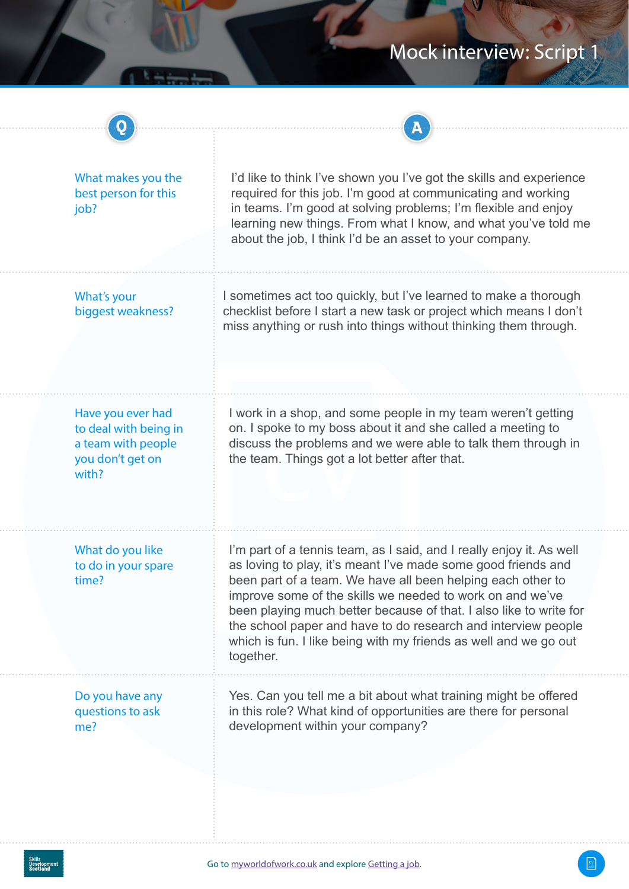| What makes you the<br>best person for this<br>job?                                            | I'd like to think I've shown you I've got the skills and experience<br>required for this job. I'm good at communicating and working<br>in teams. I'm good at solving problems; I'm flexible and enjoy<br>learning new things. From what I know, and what you've told me<br>about the job, I think I'd be an asset to your company.                                                                                                                                                        |
|-----------------------------------------------------------------------------------------------|-------------------------------------------------------------------------------------------------------------------------------------------------------------------------------------------------------------------------------------------------------------------------------------------------------------------------------------------------------------------------------------------------------------------------------------------------------------------------------------------|
| What's your<br>biggest weakness?                                                              | I sometimes act too quickly, but I've learned to make a thorough<br>checklist before I start a new task or project which means I don't<br>miss anything or rush into things without thinking them through.                                                                                                                                                                                                                                                                                |
| Have you ever had<br>to deal with being in<br>a team with people<br>you don't get on<br>with? | I work in a shop, and some people in my team weren't getting<br>on. I spoke to my boss about it and she called a meeting to<br>discuss the problems and we were able to talk them through in<br>the team. Things got a lot better after that.                                                                                                                                                                                                                                             |
| What do you like<br>to do in your spare<br>time?                                              | I'm part of a tennis team, as I said, and I really enjoy it. As well<br>as loving to play, it's meant I've made some good friends and<br>been part of a team. We have all been helping each other to<br>improve some of the skills we needed to work on and we've<br>been playing much better because of that. I also like to write for<br>the school paper and have to do research and interview people<br>which is fun. I like being with my friends as well and we go out<br>together. |
| Do you have any<br>questions to ask<br>me?                                                    | Yes. Can you tell me a bit about what training might be offered<br>in this role? What kind of opportunities are there for personal<br>development within your company?                                                                                                                                                                                                                                                                                                                    |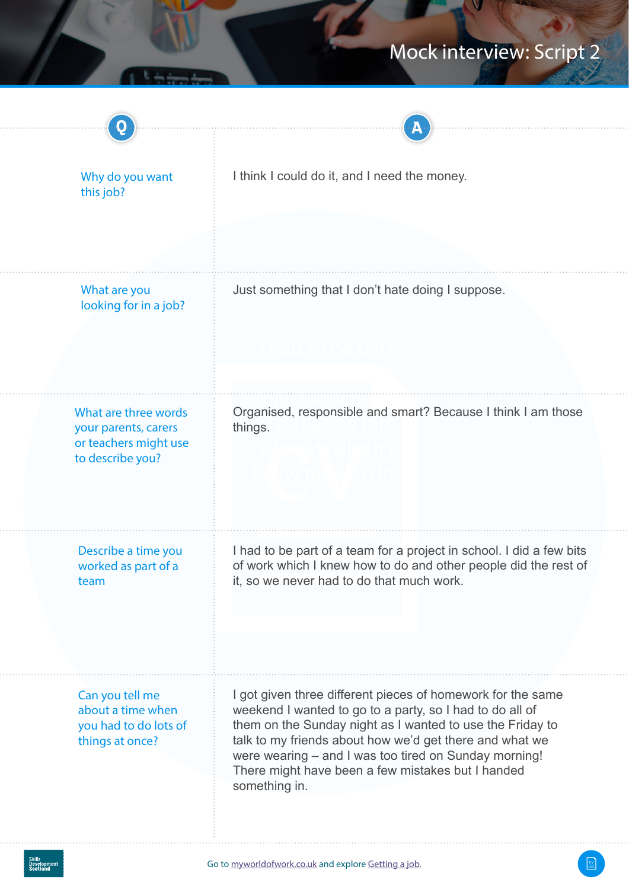| Why do you want<br>this job?                                                              | I think I could do it, and I need the money.                                                                                                                                                                                                                                                                                                                                   |
|-------------------------------------------------------------------------------------------|--------------------------------------------------------------------------------------------------------------------------------------------------------------------------------------------------------------------------------------------------------------------------------------------------------------------------------------------------------------------------------|
|                                                                                           |                                                                                                                                                                                                                                                                                                                                                                                |
| What are you<br>looking for in a job?                                                     | Just something that I don't hate doing I suppose.                                                                                                                                                                                                                                                                                                                              |
|                                                                                           |                                                                                                                                                                                                                                                                                                                                                                                |
| What are three words<br>your parents, carers<br>or teachers might use<br>to describe you? | Organised, responsible and smart? Because I think I am those<br>things.                                                                                                                                                                                                                                                                                                        |
| Describe a time you<br>worked as part of a<br>team                                        | I had to be part of a team for a project in school. I did a few bits<br>of work which I knew how to do and other people did the rest of<br>it, so we never had to do that much work.                                                                                                                                                                                           |
| Can you tell me<br>about a time when<br>you had to do lots of<br>things at once?          | I got given three different pieces of homework for the same<br>weekend I wanted to go to a party, so I had to do all of<br>them on the Sunday night as I wanted to use the Friday to<br>talk to my friends about how we'd get there and what we<br>were wearing - and I was too tired on Sunday morning!<br>There might have been a few mistakes but I handed<br>something in. |